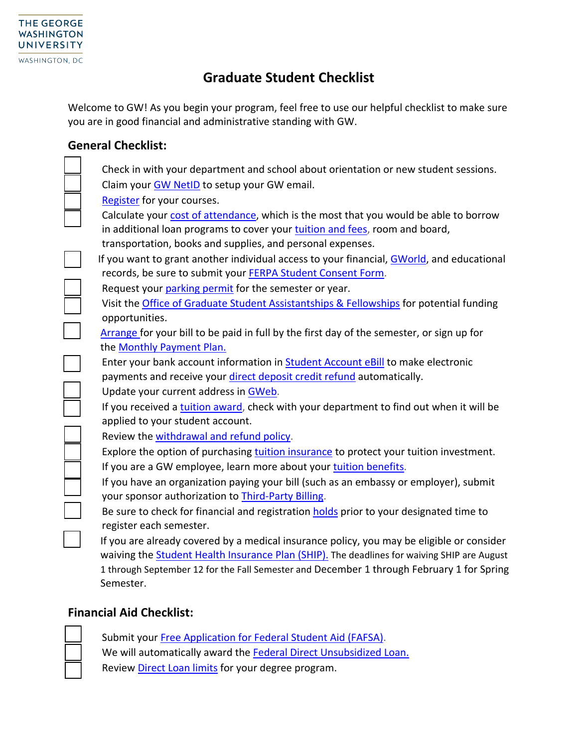

## **Graduate Student Checklist**

Welcome to GW! As you begin your program, feel free to use our helpful checklist to make sure you are in good financial and administrative standing with GW.

## **General Checklist:**

| Check in with your department and school about orientation or new student sessions.                 |
|-----------------------------------------------------------------------------------------------------|
| Claim your GW NetID to setup your GW email.                                                         |
| Register for your courses.                                                                          |
| Calculate your cost of attendance, which is the most that you would be able to borrow               |
| in additional loan programs to cover your tuition and fees, room and board,                         |
| transportation, books and supplies, and personal expenses.                                          |
| If you want to grant another individual access to your financial, GWorld, and educational           |
| records, be sure to submit your FERPA Student Consent Form.                                         |
| Request your parking permit for the semester or year.                                               |
| Visit the Office of Graduate Student Assistantships & Fellowships for potential funding             |
| opportunities.                                                                                      |
| Arrange for your bill to be paid in full by the first day of the semester, or sign up for           |
| the Monthly Payment Plan.                                                                           |
| Enter your bank account information in <b>Student Account eBill</b> to make electronic              |
| payments and receive your direct deposit credit refund automatically.                               |
| Update your current address in GWeb.                                                                |
| If you received a tuition award, check with your department to find out when it will be             |
| applied to your student account.                                                                    |
| Review the withdrawal and refund policy.                                                            |
| Explore the option of purchasing tuition insurance to protect your tuition investment.              |
| If you are a GW employee, learn more about your tuition benefits.                                   |
| If you have an organization paying your bill (such as an embassy or employer), submit               |
| your sponsor authorization to Third-Party Billing.                                                  |
| Be sure to check for financial and registration holds prior to your designated time to              |
| register each semester.                                                                             |
| If you are already covered by a medical insurance policy, you may be eligible or consider           |
| waiving the <b>Student Health Insurance Plan (SHIP)</b> . The deadlines for waiving SHIP are August |
| 1 through September 12 for the Fall Semester and December 1 through February 1 for Spring           |
| Semester.                                                                                           |

## **Financial Aid Checklist:**

Submit your [Free Application for Federal Student Aid \(FAFSA\).](https://studentaid.gov/h/apply-for-aid/fafsa) We will automatically award the [Federal Direct Unsubsidized](https://financialaid.gwu.edu/federal-direct-loans?qt-federal_direct_loans=2#qt-federal_direct_loans) Loan. Review [Direct Loan limits](http://financialaid.gwu.edu/graduate-federal-direct-loan-limits) for your degree program.